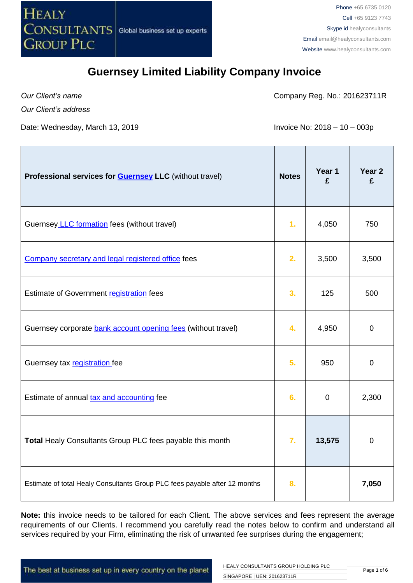

*Our Client's name*

Company Reg. No.: 201623711R

*Our Client's address*

Date: Wednesday, March 13, 2019  $\blacksquare$  Invoice No: 2018 – 10 – 003p

| Professional services for <b>Guernsey LLC</b> (without travel)             | <b>Notes</b>   | Year 1<br>£ | Year 2<br>£ |
|----------------------------------------------------------------------------|----------------|-------------|-------------|
| Guernsey LLC formation fees (without travel)                               | 1 <sub>r</sub> | 4,050       | 750         |
| Company secretary and legal registered office fees                         | 2.             | 3,500       | 3,500       |
| Estimate of Government registration fees                                   | 3.             | 125         | 500         |
| Guernsey corporate bank account opening fees (without travel)              | 4.             | 4,950       | $\mathbf 0$ |
| Guernsey tax registration fee                                              | 5.             | 950         | $\mathbf 0$ |
| Estimate of annual tax and accounting fee                                  | 6.             | $\mathbf 0$ | 2,300       |
| Total Healy Consultants Group PLC fees payable this month                  | 7.             | 13,575      | $\mathbf 0$ |
| Estimate of total Healy Consultants Group PLC fees payable after 12 months | 8.             |             | 7,050       |

**Note:** this invoice needs to be tailored for each Client. The above services and fees represent the average requirements of our Clients. I recommend you carefully read the notes below to confirm and understand all services required by your Firm, eliminating the risk of unwanted fee surprises during the engagement;

The best at business set up in every country on the planet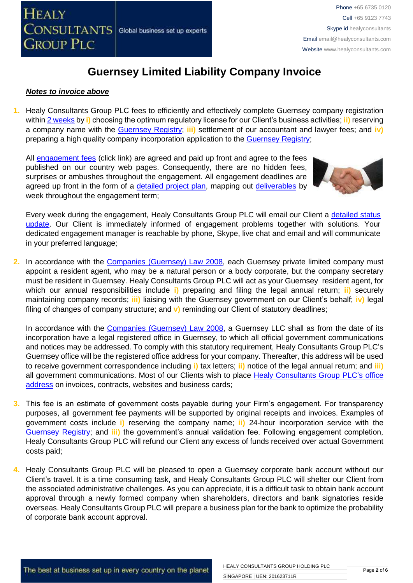

#### *Notes to invoice above*

**1.** Healy Consultants Group PLC fees to efficiently and effectively complete Guernsey company registration within [2 weeks](http://www.healyconsultants.com/guernsey-company-registration/fees-timelines/#timelines) by **i)** choosing the optimum regulatory license for our Client's business activities; **ii)** reserving a company name with the [Guernsey Registry;](http://guernseyregistry.com/) **iii)** settlement of our accountant and lawyer fees; and **iv)** preparing a high quality company incorporation application to the [Guernsey Registry;](http://guernseyregistry.com/)

All [engagement fees](http://www.healyconsultants.com/company-registration-fees/) (click link) are agreed and paid up front and agree to the fees published on our country web pages. Consequently, there are no hidden fees, surprises or ambushes throughout the engagement. All engagement deadlines are agreed up front in the form of a [detailed project plan,](http://www.healyconsultants.com/index-important-links/example-project-plan/) mapping out [deliverables](http://www.healyconsultants.com/deliverables-to-our-clients/) by week throughout the engagement term;



Every week during the engagement, Healy Consultants Group PLC will email our Client a detailed status [update.](http://www.healyconsultants.com/index-important-links/weekly-engagement-status-email/) Our Client is immediately informed of engagement problems together with solutions. Your dedicated engagement manager is reachable by phone, Skype, live chat and email and will communicate in your preferred language;

**2.** In accordance with the [Companies \(Guernsey\) Law 2008,](http://www.gfsc.gg/The-Commission/Policy%20and%20Legislation/Companies-(Guernsey)-Law-2008-(Consolidated-text).pdf) each Guernsey private limited company must appoint a resident agent, who may be a natural person or a body corporate, but the company secretary must be resident in Guernsey. Healy Consultants Group PLC will act as your Guernsey resident agent, for which our annual responsibilities include **i)** preparing and filing the legal annual return; **ii)** securely maintaining company records; **iii)** liaising with the Guernsey government on our Client's behalf; **iv)** legal filing of changes of company structure; and **v)** reminding our Client of statutory deadlines;

In accordance with the [Companies \(Guernsey\) Law 2008,](http://www.gfsc.gg/The-Commission/Policy%20and%20Legislation/Companies-(Guernsey)-Law-2008-(Consolidated-text).pdf) a Guernsey LLC shall as from the date of its incorporation have a legal registered office in Guernsey, to which all official government communications and notices may be addressed. To comply with this statutory requirement, Healy Consultants Group PLC's Guernsey office will be the registered office address for your company. Thereafter, this address will be used to receive government correspondence including **i)** tax letters; **ii)** notice of the legal annual return; and **iii)**  all government communications. Most of our Clients wish to place [Healy Consultants Group PLC's](http://www.healyconsultants.com/corporate-outsourcing-services/company-secretary-and-legal-registered-office/) office [address](http://www.healyconsultants.com/corporate-outsourcing-services/company-secretary-and-legal-registered-office/) on invoices, contracts, websites and business cards;

- **3.** This fee is an estimate of government costs payable during your Firm's engagement. For transparency purposes, all government fee payments will be supported by original receipts and invoices. Examples of government costs include **i)** reserving the company name; **ii)** 24-hour incorporation service with the [Guernsey Registry;](http://guernseyregistry.com/) and **iii)** the government's annual validation fee. Following engagement completion, Healy Consultants Group PLC will refund our Client any excess of funds received over actual Government costs paid;
- **4.** Healy Consultants Group PLC will be pleased to open a Guernsey corporate bank account without our Client's travel. It is a time consuming task, and Healy Consultants Group PLC will shelter our Client from the associated administrative challenges. As you can appreciate, it is a difficult task to obtain bank account approval through a newly formed company when shareholders, directors and bank signatories reside overseas. Healy Consultants Group PLC will prepare a business plan for the bank to optimize the probability of corporate bank account approval.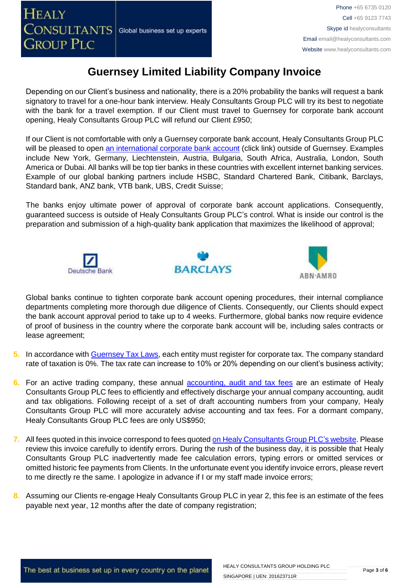

Depending on our Client's business and nationality, there is a 20% probability the banks will request a bank signatory to travel for a one-hour bank interview. Healy Consultants Group PLC will try its best to negotiate with the bank for a travel exemption. If our Client must travel to Guernsey for corporate bank account opening, Healy Consultants Group PLC will refund our Client £950;

If our Client is not comfortable with only a Guernsey corporate bank account, Healy Consultants Group PLC will be pleased to open [an international corporate bank account](http://www.healyconsultants.com/international-banking/) (click link) outside of Guernsey. Examples include New York, Germany, Liechtenstein, Austria, Bulgaria, South Africa, Australia, London, South America or Dubai. All banks will be top tier banks in these countries with excellent internet banking services. Example of our global banking partners include HSBC, Standard Chartered Bank, Citibank, Barclays, Standard bank, ANZ bank, VTB bank, UBS, Credit Suisse;

The banks enjoy ultimate power of approval of corporate bank account applications. Consequently, guaranteed success is outside of Healy Consultants Group PLC's control. What is inside our control is the preparation and submission of a high-quality bank application that maximizes the likelihood of approval;







Global banks continue to tighten corporate bank account opening procedures, their internal compliance departments completing more thorough due diligence of Clients. Consequently, our Clients should expect the bank account approval period to take up to 4 weeks. Furthermore, global banks now require evidence of proof of business in the country where the corporate bank account will be, including sales contracts or lease agreement;

- **5.** In accordance with [Guernsey Tax Laws,](https://gov.gg/article/120167/Tax-for-businesses-companies-and-employers) each entity must register for corporate tax. The company standard rate of taxation is 0%. The tax rate can increase to 10% or 20% depending on our client's business activity;
- **6.** For an active trading company, these annual [accounting, audit and tax](http://www.healyconsultants.com/guernsey-company-registration/accounting-legal/) fees are an estimate of Healy Consultants Group PLC fees to efficiently and effectively discharge your annual company accounting, audit and tax obligations. Following receipt of a set of draft accounting numbers from your company, Healy Consultants Group PLC will more accurately advise accounting and tax fees. For a dormant company, Healy Consultants Group PLC fees are only US\$950;
- **7.** All fees quoted in this invoice correspond to fees quoted [on Healy Consultants Group PLC's](http://www.healyconsultants.com/company-registration-fees/) website. Please review this invoice carefully to identify errors. During the rush of the business day, it is possible that Healy Consultants Group PLC inadvertently made fee calculation errors, typing errors or omitted services or omitted historic fee payments from Clients. In the unfortunate event you identify invoice errors, please revert to me directly re the same. I apologize in advance if I or my staff made invoice errors;
- **8.** Assuming our Clients re-engage Healy Consultants Group PLC in year 2, this fee is an estimate of the fees payable next year, 12 months after the date of company registration;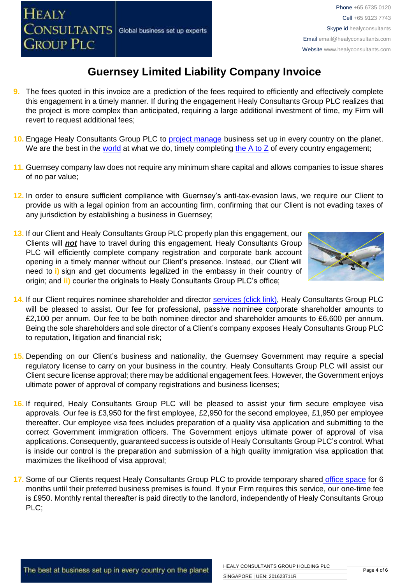- **9.** The fees quoted in this invoice are a prediction of the fees required to efficiently and effectively complete this engagement in a timely manner. If during the engagement Healy Consultants Group PLC realizes that the project is more complex than anticipated, requiring a large additional investment of time, my Firm will revert to request additional fees;
- **10.** Engage Healy Consultants Group PLC to [project manage](http://www.healyconsultants.com/project-manage-engagements/) business set up in every country on the planet. We are the best in the [world](http://www.healyconsultants.com/best-in-the-world/) at what we do, timely completing the  $A$  to  $Z$  of every country engagement;
- **11.** Guernsey company law does not require any minimum share capital and allows companies to issue shares of no par value;
- **12.** In order to ensure sufficient compliance with Guernsey's anti-tax-evasion laws, we require our Client to provide us with a legal opinion from an accounting firm, confirming that our Client is not evading taxes of any jurisdiction by establishing a business in Guernsey;
- **13.** If our Client and Healy Consultants Group PLC properly plan this engagement, our Clients will *not* have to travel during this engagement. Healy Consultants Group PLC will efficiently complete company registration and corporate bank account opening in a timely manner without our Client's presence. Instead, our Client will need to **i)** sign and get documents legalized in the embassy in their country of origin; and **ii)** courier the originals to Healy Consultants Group PLC's office;



- **14.** If our Client requires nominee shareholder and director services [\(click link\),](http://www.healyconsultants.com/corporate-outsourcing-services/nominee-shareholders-directors/) Healy Consultants Group PLC will be pleased to assist. Our fee for professional, passive nominee corporate shareholder amounts to £2,100 per annum. Our fee to be both nominee director and shareholder amounts to £6,600 per annum. Being the sole shareholders and sole director of a Client's company exposes Healy Consultants Group PLC to reputation, litigation and financial risk;
- **15.** Depending on our Client's business and nationality, the Guernsey Government may require a special regulatory license to carry on your business in the country. Healy Consultants Group PLC will assist our Client secure license approval; there may be additional engagement fees. However, the Government enjoys ultimate power of approval of company registrations and business licenses;
- **16.** If required, Healy Consultants Group PLC will be pleased to assist your firm secure employee visa approvals. Our fee is £3,950 for the first employee, £2,950 for the second employee, £1,950 per employee thereafter. Our employee visa fees includes preparation of a quality visa application and submitting to the correct Government immigration officers. The Government enjoys ultimate power of approval of visa applications. Consequently, guaranteed success is outside of Healy Consultants Group PLC's control. What is inside our control is the preparation and submission of a high quality immigration visa application that maximizes the likelihood of visa approval;
- **17.** Some of our Clients request Healy Consultants Group PLC to provide temporary shared [office space](http://www.healyconsultants.com/virtual-office/) for 6 months until their preferred business premises is found. If your Firm requires this service, our one-time fee is £950. Monthly rental thereafter is paid directly to the landlord, independently of Healy Consultants Group PLC;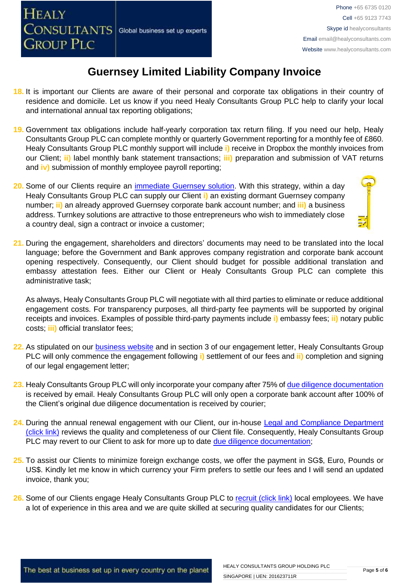- **18.** It is important our Clients are aware of their personal and corporate tax obligations in their country of residence and domicile. Let us know if you need Healy Consultants Group PLC help to clarify your local and international annual tax reporting obligations;
- **19.** Government tax obligations include half-yearly corporation tax return filing. If you need our help, Healy Consultants Group PLC can complete monthly or quarterly Government reporting for a monthly fee of £860. Healy Consultants Group PLC monthly support will include **i)** receive in Dropbox the monthly invoices from our Client; **ii)** label monthly bank statement transactions; **iii)** preparation and submission of VAT returns and **iv)** submission of monthly employee payroll reporting;
- **20.** Some of our Clients require an [immediate Guernsey](http://www.healyconsultants.com/turnkey-solutions/) solution. With this strategy, within a day Healy Consultants Group PLC can supply our Client **i)** an existing dormant Guernsey company number; **ii)** an already approved Guernsey corporate bank account number; and **iii)** a business address. Turnkey solutions are attractive to those entrepreneurs who wish to immediately close a country deal, sign a contract or invoice a customer;
- **21.** During the engagement, shareholders and directors' documents may need to be translated into the local language; before the Government and Bank approves company registration and corporate bank account opening respectively. Consequently, our Client should budget for possible additional translation and embassy attestation fees. Either our Client or Healy Consultants Group PLC can complete this administrative task;

As always, Healy Consultants Group PLC will negotiate with all third parties to eliminate or reduce additional engagement costs. For transparency purposes, all third-party fee payments will be supported by original receipts and invoices. Examples of possible third-party payments include **i)** embassy fees; **ii)** notary public costs; **iii)** official translator fees;

- **22.** As stipulated on our [business website](http://www.healyconsultants.com/) and in section 3 of our engagement letter, Healy Consultants Group PLC will only commence the engagement following **i)** settlement of our fees and **ii)** completion and signing of our legal engagement letter;
- **23.** Healy Consultants Group PLC will only incorporate your company after 75% of [due diligence documentation](http://www.healyconsultants.com/due-diligence/) is received by email. Healy Consultants Group PLC will only open a corporate bank account after 100% of the Client's original due diligence documentation is received by courier;
- **24.** During the annual renewal engagement with our Client, our in-house [Legal and Compliance Department](http://www.healyconsultants.com/about-us/key-personnel/cai-xin-profile/)  [\(click link\)](http://www.healyconsultants.com/about-us/key-personnel/cai-xin-profile/) reviews the quality and completeness of our Client file. Consequently, Healy Consultants Group PLC may revert to our Client to ask for more up to date [due diligence documentation;](http://www.healyconsultants.com/due-diligence/)
- **25.** To assist our Clients to minimize foreign exchange costs, we offer the payment in SG\$, Euro, Pounds or US\$. Kindly let me know in which currency your Firm prefers to settle our fees and I will send an updated invoice, thank you;
- 26. Some of our Clients engage Healy Consultants Group PLC to [recruit \(click link\)](http://www.healyconsultants.com/corporate-outsourcing-services/how-we-help-our-clients-recruit-quality-employees/) local employees. We have a lot of experience in this area and we are quite skilled at securing quality candidates for our Clients;